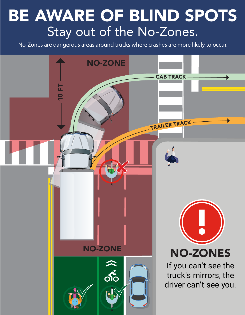## BE AWARE OF BLIND SPOTS Stay out of the No-Zones.

No-Zones are dangerous areas around trucks where crashes are more likely to occur.